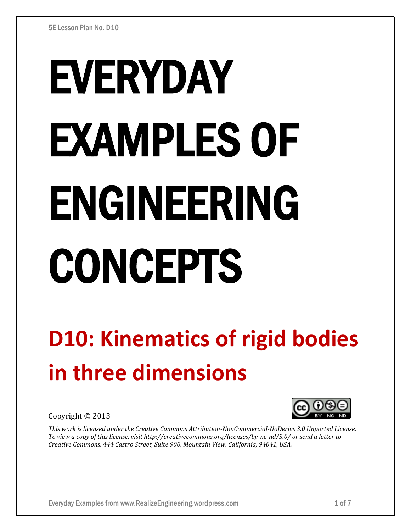# EVERYDAY EXAMPLES OF ENGINEERING CONCEPTS

## **D10: Kinematics of rigid bodies in three dimensions**

Copyright © 2013

*This work is licensed under the Creative Commons Attribution-NonCommercial-NoDerivs 3.0 Unported License. To view a copy of this license, visit http://creativecommons.org/licenses/by-nc-nd/3.0/ or send a letter to Creative Commons, 444 Castro Street, Suite 900, Mountain View, California, 94041, USA.*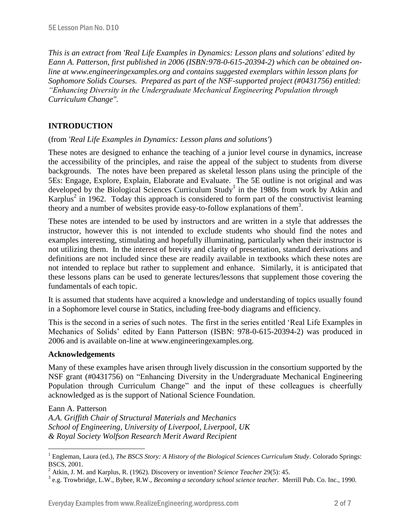*This is an extract from 'Real Life Examples in Dynamics: Lesson plans and solutions' edited by Eann A. Patterson, first published in 2006 (ISBN:978-0-615-20394-2) which can be obtained online at www.engineeringexamples.org and contains suggested exemplars within lesson plans for Sophomore Solids Courses. Prepared as part of the NSF-supported project (#0431756) entitled: "Enhancing Diversity in the Undergraduate Mechanical Engineering Population through Curriculum Change".* 

### **INTRODUCTION**

#### (from *'Real Life Examples in Dynamics: Lesson plans and solutions'*)

These notes are designed to enhance the teaching of a junior level course in dynamics, increase the accessibility of the principles, and raise the appeal of the subject to students from diverse backgrounds. The notes have been prepared as skeletal lesson plans using the principle of the 5Es: Engage, Explore, Explain, Elaborate and Evaluate. The 5E outline is not original and was developed by the Biological Sciences Curriculum Study<sup>1</sup> in the 1980s from work by Atkin and Karplus<sup>2</sup> in 1962. Today this approach is considered to form part of the constructivist learning theory and a number of websites provide easy-to-follow explanations of them<sup>3</sup>.

These notes are intended to be used by instructors and are written in a style that addresses the instructor, however this is not intended to exclude students who should find the notes and examples interesting, stimulating and hopefully illuminating, particularly when their instructor is not utilizing them. In the interest of brevity and clarity of presentation, standard derivations and definitions are not included since these are readily available in textbooks which these notes are not intended to replace but rather to supplement and enhance. Similarly, it is anticipated that these lessons plans can be used to generate lectures/lessons that supplement those covering the fundamentals of each topic.

It is assumed that students have acquired a knowledge and understanding of topics usually found in a Sophomore level course in Statics, including free-body diagrams and efficiency.

This is the second in a series of such notes. The first in the series entitled 'Real Life Examples in Mechanics of Solids' edited by Eann Patterson (ISBN: 978-0-615-20394-2) was produced in 2006 and is available on-line at www.engineeringexamples.org.

#### **Acknowledgements**

Many of these examples have arisen through lively discussion in the consortium supported by the NSF grant (#0431756) on "Enhancing Diversity in the Undergraduate Mechanical Engineering Population through Curriculum Change" and the input of these colleagues is cheerfully acknowledged as is the support of National Science Foundation.

Eann A. Patterson

 $\overline{a}$ 

*A.A. Griffith Chair of Structural Materials and Mechanics School of Engineering, University of Liverpool, Liverpool, UK & Royal Society Wolfson Research Merit Award Recipient*

<sup>&</sup>lt;sup>1</sup> Engleman, Laura (ed.), *The BSCS Story: A History of the Biological Sciences Curriculum Study*. Colorado Springs: BSCS, 2001.

<sup>2</sup> Atkin, J. M. and Karplus, R. (1962). Discovery or invention? *Science Teacher* 29(5): 45.

<sup>3</sup> e.g. Trowbridge, L.W., Bybee, R.W., *Becoming a secondary school science teacher*. Merrill Pub. Co. Inc., 1990.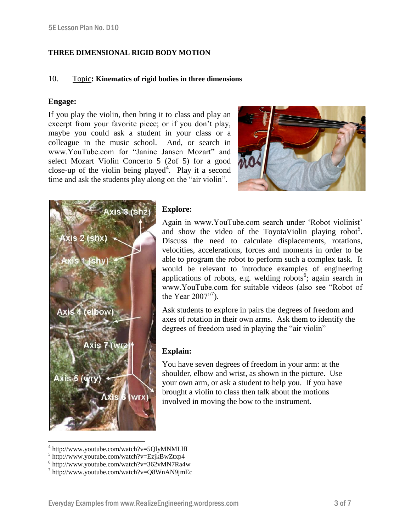#### **THREE DIMENSIONAL RIGID BODY MOTION**

#### 10. Topic**: Kinematics of rigid bodies in three dimensions**

#### **Engage:**

If you play the violin, then bring it to class and play an excerpt from your favorite piece; or if you don't play, maybe you could ask a student in your class or a colleague in the music school. And, or search in www.YouTube.com for "Janine Jansen Mozart" and select Mozart Violin Concerto 5 (2of 5) for a good close-up of the violin being played<sup>4</sup>. Play it a second time and ask the students play along on the "air violin".





#### **Explore:**

Again in www.YouTube.com search under 'Robot violinist' and show the video of the ToyotaViolin playing robot<sup>5</sup>. Discuss the need to calculate displacements, rotations, velocities, accelerations, forces and moments in order to be able to program the robot to perform such a complex task. It would be relevant to introduce examples of engineering applications of robots, e.g. welding robots<sup>6</sup>; again search in www.YouTube.com for suitable videos (also see "Robot of the Year  $2007"$ <sup>7</sup>).

Ask students to explore in pairs the degrees of freedom and axes of rotation in their own arms. Ask them to identify the degrees of freedom used in playing the "air violin"

#### **Explain:**

You have seven degrees of freedom in your arm: at the shoulder, elbow and wrist, as shown in the picture. Use your own arm, or ask a student to help you. If you have brought a violin to class then talk about the motions involved in moving the bow to the instrument.

<sup>4</sup> http://www.youtube.com/watch?v=5QlyMNMLlfI

<sup>5</sup> http://www.youtube.com/watch?v=EzjkBwZtxp4

 $6$  http://www.youtube.com/watch?v=362vMN7Ra4w

<sup>7</sup> http://www.youtube.com/watch?v=Q8WnAN9jmEc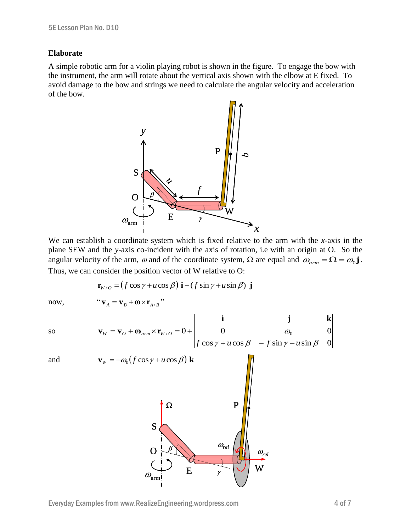#### **Elaborate**

A simple robotic arm for a violin playing robot is shown in the figure. To engage the bow with the instrument, the arm will rotate about the vertical axis shown with the elbow at E fixed. To avoid damage to the bow and strings we need to calculate the angular velocity and acceleration of the bow.



We can establish a coordinate system which is fixed relative to the arm with the *x*-axis in the plane SEW and the *y*-axis co-incident with the axis of rotation, i.e with an origin at O. So the angular velocity of the arm,  $\omega$  and of the coordinate system,  $\Omega$  are equal and  $\omega_{arm} = \Omega = \omega_0 \mathbf{j}$ . Thus, we can consider the position vector of W relative to O:

 $\mathbf{I}$ 

$$
\mathbf{r}_{w/o} = (f \cos \gamma + u \cos \beta) \mathbf{i} - (f \sin \gamma + u \sin \beta) \mathbf{j}
$$

now, "
$$
\mathbf{v}_A = \mathbf{v}_B + \mathbf{\omega} \times \mathbf{r}_{A/B}
$$
"

so

$$
\mathbf{v}_{w} = \mathbf{v}_{o} + \mathbf{\omega}_{arm} \times \mathbf{r}_{w/o} = 0 + \begin{vmatrix} \mathbf{i} & \mathbf{j} & \mathbf{k} \\ 0 & a_{0} & 0 \\ f \cos \gamma + u \cos \beta & -f \sin \gamma - u \sin \beta & 0 \end{vmatrix}
$$

$$
\quad \text{and} \quad
$$

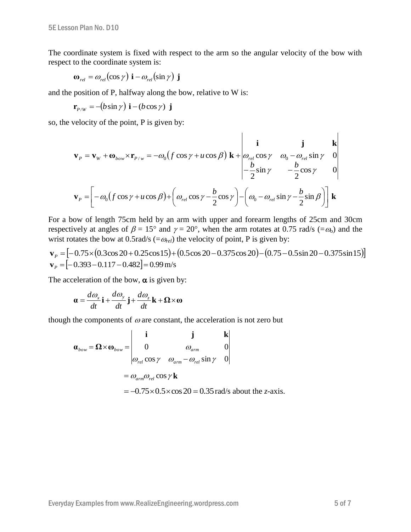The coordinate system is fixed with respect to the arm so the angular velocity of the bow with respect to the coordinate system is:

$$
\mathbf{\omega}_{\textit{rel}} = \omega_{\textit{rel}}(\cos\gamma) \mathbf{i} - \omega_{\textit{rel}}(\sin\gamma) \mathbf{j}
$$

and the position of P, halfway along the bow, relative to W is:

$$
\mathbf{r}_{P/W} = -(b\sin\gamma)\,\mathbf{i} - (b\cos\gamma)\,\mathbf{j}
$$

so, the velocity of the point, P is given by:

$$
\mathbf{v}_{P} = \mathbf{v}_{W} + \mathbf{\omega}_{bow} \times \mathbf{r}_{P/w} = -\omega_{0} \left( f \cos \gamma + u \cos \beta \right) \mathbf{k} + \begin{vmatrix} \mathbf{i} & \mathbf{j} & \mathbf{k} \\ \omega_{rel} \cos \gamma & \omega_{0} - \omega_{rel} \sin \gamma & 0 \\ -\frac{b}{2} \sin \gamma & -\frac{b}{2} \cos \gamma & 0 \end{vmatrix}
$$

$$
\mathbf{v}_{P} = \left[ -\omega_{0} \left( f \cos \gamma + u \cos \beta \right) + \left( \omega_{rel} \cos \gamma - \frac{b}{2} \cos \gamma \right) - \left( \omega_{0} - \omega_{rel} \sin \gamma - \frac{b}{2} \sin \beta \right) \right] \mathbf{k}
$$

For a bow of length 75cm held by an arm with upper and forearm lengths of 25cm and 30cm respectively at angles of  $\beta = 15^{\circ}$  and  $\gamma = 20^{\circ}$ , when the arm rotates at 0.75 rad/s (= $\omega_0$ ) and the wrist rotates the bow at 0.5rad/s  $(=\omega_{rel})$  the velocity of point, P is given by:

 $\mathbf{v}_p = \begin{bmatrix} -0.75 \times (0.3 \cos 20 + 0.25 \cos 15) + (0.5 \cos 20 - 0.375 \cos 20) - (0.75 - 0.5 \sin 20 - 0.375 \sin 15) \end{bmatrix}$  $\mathbf{v}_p = [-0.393 - 0.117 - 0.482] = 0.99 \,\mathrm{m/s}$ 

The acceleration of the bow,  $\alpha$  is given by:

$$
\mathbf{a} = \frac{d\omega_x}{dt}\mathbf{i} + \frac{d\omega_y}{dt}\mathbf{j} + \frac{d\omega_z}{dt}\mathbf{k} + \mathbf{\Omega} \times \mathbf{\omega}
$$

though the components of  $\omega$  are constant, the acceleration is not zero but

$$
\mathbf{a}_{bow} = \mathbf{\Omega} \times \mathbf{\omega}_{bow} = \begin{vmatrix} \mathbf{i} & \mathbf{j} & \mathbf{k} \\ 0 & \omega_{arm} & 0 \\ \omega_{rel} \cos \gamma & \omega_{arm} - \omega_{rel} \sin \gamma & 0 \end{vmatrix}
$$
  
=  $\omega_{arm} \omega_{rel} \cos \gamma \mathbf{k}$   
= -0.75×0.5×cos 20 = 0.35 rad/s about the z-axis.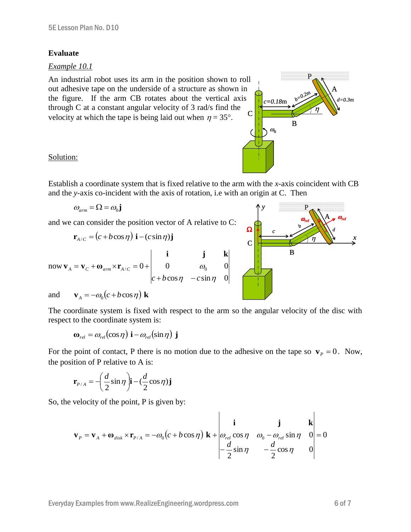#### **Evaluate**

#### *Example 10.1*

C An industrial robot uses its arm in the position shown to roll out adhesive tape on the underside of a structure as shown in the figure. If the arm CB rotates about the vertical axis through C at a constant angular velocity of 3 rad/s find the velocity at which the tape is being laid out when  $\eta = 35^{\circ}$ .

#### Solution:

Establish a coordinate system that is fixed relative to the arm with the *x*-axis coincident with CB and the *y*-axis co-incident with the axis of rotation, i.e with an origin at C. Then

$$
\omega_{arm} = \Omega = \omega_0 \mathbf{j}
$$

and we can consider the position vector of A relative to C:

$$
\mathbf{r}_{A/C} = (c + b \cos \eta) \mathbf{i} - (c \sin \eta) \mathbf{j}
$$

now 
$$
\mathbf{v}_A = \mathbf{v}_C + \mathbf{\omega}_{arm} \times \mathbf{r}_{A/C} = 0 + \begin{vmatrix} \mathbf{i} & \mathbf{j} & \mathbf{k} \\ 0 & \omega_0 & 0 \\ c + b \cos \eta & -c \sin \eta & 0 \end{vmatrix}
$$

and 
$$
\mathbf{v}_A = -\omega_0 (c + b \cos \eta) \mathbf{k}
$$

The coordinate system is fixed with respect to the arm so the angular velocity of the disc with respect to the coordinate system is:

$$
\mathbf{\omega}_{\textit{rel}} = \omega_{\textit{rel}}(\cos\eta) \mathbf{i} - \omega_{\textit{rel}}(\sin\eta) \mathbf{j}
$$

For the point of contact, P there is no motion due to the adhesive on the tape so  $\mathbf{v}_p = 0$ . Now, the position of P relative to A is:

$$
\mathbf{r}_{P/A} = -\left(\frac{d}{2}\sin\eta\right)\mathbf{i} - \left(\frac{d}{2}\cos\eta\right)\mathbf{j}
$$

So, the velocity of the point, P is given by:

$$
\mathbf{v}_{P} = \mathbf{v}_{A} + \mathbf{\omega}_{disk} \times \mathbf{r}_{P/A} = -\omega_{0} \left( c + b \cos \eta \right) \mathbf{k} + \begin{vmatrix} \mathbf{i} & \mathbf{j} & \mathbf{k} \\ \omega_{rel} \cos \eta & \omega_{0} - \omega_{rel} \sin \eta & 0 \\ -\frac{d}{2} \sin \eta & -\frac{d}{2} \cos \eta & 0 \end{vmatrix} = 0
$$



 $\omega_0$ 

*c=0.18*m

 $\eta$ 

*d=0.3*m

A

*b=0.2*

B

m

P